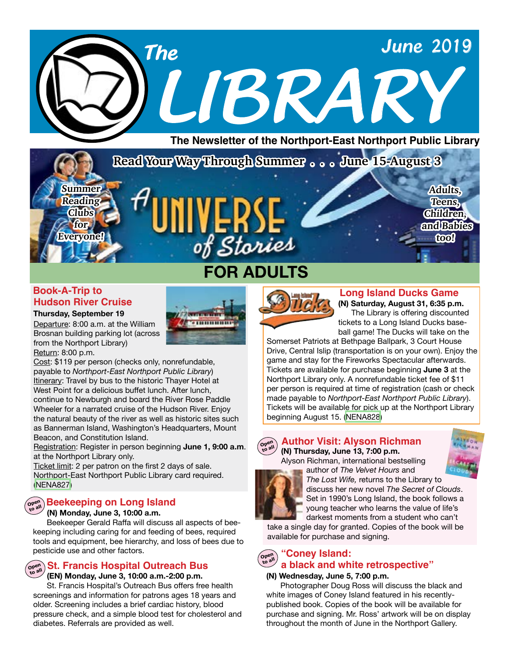

## **Book-A-Trip to Hudson River Cruise**

**Summer Reading Clubs for Everyone!**

**Thursday, September 19** Departure: 8:00 a.m. at the William Brosnan building parking lot (across from the Northport Library) Return: 8:00 p.m.

Cost: \$119 per person (checks only, nonrefundable, payable to *Northport-East Northport Public Library*) Itinerary: Travel by bus to the historic Thayer Hotel at West Point for a delicious buffet lunch. After lunch, continue to Newburgh and board the River Rose Paddle Wheeler for a narrated cruise of the Hudson River. Enjoy the natural beauty of the river as well as historic sites such as Bannerman Island, Washington's Headquarters, Mount Beacon, and Constitution Island.

Registration: Register in person beginning **June 1, 9:00 a.m**. at the Northport Library only.

Ticket limit: 2 per patron on the first 2 days of sale. Northport-East Northport Public Library card required. ([NENA827](https://search.livebrary.com/record=g1091622~S43))



## **Open to all Beekeeping on Long Island**

#### **(N) Monday, June 3, 10:00 a.m.**

Beekeeper Gerald Raffa will discuss all aspects of beekeeping including caring for and feeding of bees, required tools and equipment, bee hierarchy, and loss of bees due to pesticide use and other factors.

#### **Open St. Francis Hospital Outreach Bus**

 **(EN) Monday, June 3, 10:00 a.m.-2:00 p.m.**

 St. Francis Hospital's Outreach Bus offers free health screenings and information for patrons ages 18 years and older. Screening includes a brief cardiac history, blood pressure check, and a simple blood test for cholesterol and diabetes. Referrals are provided as well.



**FOR ADULTS**

of Stories

----------

## **(N) Saturday, August 31, 6:35 p.m. Long Island Ducks Game**

The Library is offering discounted tickets to a Long Island Ducks baseball game! The Ducks will take on the

**Adults, Teens, Children, and Babies too!**

Somerset Patriots at Bethpage Ballpark, 3 Court House Drive, Central Islip (transportation is on your own). Enjoy the game and stay for the Fireworks Spectacular afterwards. Tickets are available for purchase beginning **June 3** at the Northport Library only. A nonrefundable ticket fee of \$11 per person is required at time of registration (cash or check made payable to *Northport-East Northport Public Library*). Tickets will be available for pick up at the Northport Library beginning August 15. ([NENA828](https://search.livebrary.com/record=g1091619~S43))

## **(N) Thursday, June 13, 7:00 p.m.**



## **Author Visit: Alyson Richman**



Alyson Richman, international bestselling author of *The Velvet Hours* and



*The Lost Wife,* returns to the Library to discuss her new novel *The Secret of Clouds*. Set in 1990's Long Island, the book follows a young teacher who learns the value of life's darkest moments from a student who can't

take a single day for granted. Copies of the book will be available for purchase and signing.

#### Open<br>to all **to all "Coney Island: a black and white retrospective"**

#### **(N) Wednesday, June 5, 7:00 p.m.**

Photographer Doug Ross will discuss the black and white images of Coney Island featured in his recentlypublished book. Copies of the book will be available for purchase and signing. Mr. Ross' artwork will be on display throughout the month of June in the Northport Gallery.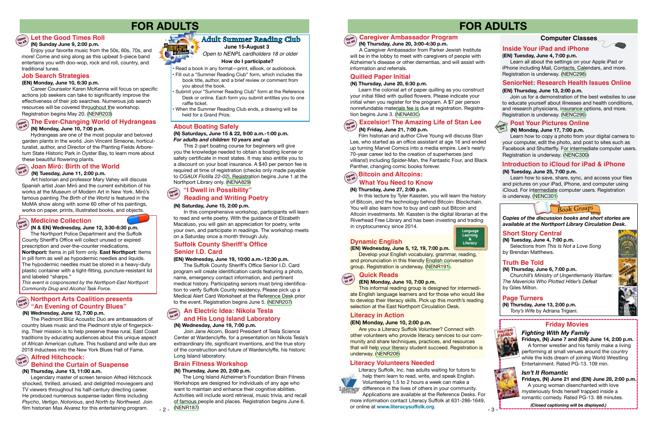## **FOR ADULTS**

## **Open Joan Miró: Birth of the World to all**

#### **(N) Monday, June 10, 7:00 p.m.**

 Hydrangeas are one of the most popular and beloved garden plants in the world. Join Vincent Simeone, horticulturalist, author, and Director of the Planting Fields Arboretum State Historic Park in Oyster Bay, to learn more about these beautiful flowering plants. these beautiful flowering plants.

## **Open to all The Ever-Changing World of Hydrangeas**

 **(N) Tuesday, June 11, 2:00 p.m.**

 Art historian and professor Mary Vahey will discuss Spanish artist Joan Miró and the current exhibition of his works at the Museum of Modern Art in New York. Miró's famous painting *The Birth of the World* is featured in the MoMA show along with some 60 other of his paintings, works on paper, prints, illustrated books, and objects.

#### **About Boating Safely**

 The Suffolk County Sheriff's Office Senior I.D. Card program will create identification cards featuring a photo, name, emergency contact information, and pertinent medical history. Participating seniors must bring identification to verify Suffolk County residency. Please pick up a Medical Alert Card Worksheet at the Reference Desk prior<br>to the event. Registration begins June 5. (NENR207)

**(N) Saturdays, June 15 & 22, 9:00 a.m.-1:00 p.m.** *For adults and children 10 years and up*

This 2-part boating course for beginners will give you the knowledge needed to obtain a boating license or safety certificate in most states. It may also entitle you to a discount on your boat insurance. A \$40 per person fee is required at time of registration (checks only made payable to *CGAUX Flotilla 22-02*). Registration begins June 1 at the Northport Library only. ([NENA829](https://search.livebrary.com/record=g1091559~S43))

## **to the event. Registration begins June 5. [\(NENR207\)](https://search.livebrary.com/record=g1091821~S43)**<br> **to the event. Registration begins June 5. (NENR207)**<br> **open** *to all* **<b>***to all coalition presents* **"An Evening of Country Blues"**

 Join Jane Alcorn, Board President of Tesla Science Center at Wardenclyffe, for a presentation on Nikola Tesla's extraordinary life, significant inventions, and the true story of the construction and future of Wardenclyffe, his historic Long Island laboratory.

#### **Behind the Curtain of Suspense <b>Brain Fitness Workshop**

#### **(EN) Wednesday, June 19, 10:00 a.m.-12:30 p.m.**

#### **(N) Wednesday, June 12, 7:00 p.m.**

The Piedmont Blūz Acoustic Duo are ambassadors of country blues music and the Piedmont style of fingerpicking. Their mission is to help preserve these rural, East Coast traditions by educating audiences about this unique aspect of African American culture. This husband and wife duo are 2018 inductees into the New York Blues Hall of Fame.

• Read a book in any format—print, eBook, or audiobook.

#### **(N) Wednesday, June 19, 7:00 p.m. to all and His Long Island Laboratory**

- Fill out a "Summer Reading Club" form, which includes the book title, author, and a brief review or comment from
- you about the book. Submit your "Summer Reading Club" form at the Reference
- Desk or online. Each form you submit entitles you to one raffle ticket.
- When the Summer Reading Club ends, a drawing will be held for a Grand Prize.

#### **An Electric Idea: Nikola Tesla Open**

### **Suffolk County Sheriff's Office Senior I.D. Card**

## **Adult Summer Reading Club**

*Open to NENPL cardholders 18 or older* **June 15-August 3**

#### **How do I participate?**

 The Northport Police Department and the Suffolk County Sheriff's Office will collect unused or expired prescription and over-the-counter medications. **Northport:** Items in pill form only. **East Northport**: Items in pill form as well as hypodermic needles and liquids. The hypodermic needles must be stored in a heavy-duty plastic container with a tight-fitting, puncture-resistant lid and labeled "sharps."

#### **Medicine Collection Open**

 **(N & EN) Wednesday, June 12, 3:30-6:30 p.m. to all**

*This event is cosponsored by the Northport-East Northport Community Drug and Alcohol Task Force*.

#### **(N) Saturday, June 15, 2:00 p.m.**

#### **"I Dwell in Possibility" Reading and Writing Poetry Open to all**

In this comprehensive workshop, participants will learn to read and write poetry. With the guidance of Elizabeth Macaluso, you will gain an appreciation for poetry, write your own, and participate in readings. The workshop meets on a Saturday once a month through July.

**(N) Thursday, June 13, 11:00 a.m.**

#### **Alfred Hitchcock: Open to all**

Legendary master of screen tension Alfred Hitchcock shocked, thrilled, amused, and delighted moviegoers and TV viewers throughout his half-century directing career. He produced numerous suspense-laden films including *Psycho*, *Vertigo*, *Notorious*, and *North by Northwest*. Join film historian Max Alvarez for this entertaining program.



that will help your literacy student succeed. Registration is Are you a Literacy Suffolk Volunteer? Connect with other volunteers who provide literacy services to our community and share techniques, practices, and resources underway. [\(NENR208](https://search.livebrary.com/record=g1091816~S43))

#### **(N) Thursday, June 20, 2:00 p.m.**

 $-2 -$ 

 The Long Island Alzheimer's Foundation Brain Fitness Workshops are designed for individuals of any age who want to maintain and enhance their cognitive abilities. Activities will include word retrieval, music trivia, and recall of famous people and places. Registration begins June 6.

## **FOR ADULTS**

Literacy Suffolk, Inc. has adults waiting for tutors to help them learn to read, write, and speak English. Volunteering 1.5 to 2 hours a week can make a Literacy difference in the lives of others in your community.

**(N) Thursday, June 6, 7:00 p.m.** *Churchill's Ministry of Ungentlemanly Warfare: The Mavericks Who Plotted Hitler's Defeat* by Giles Milton.

Selections from *This Is Not a Love Song* by Brendan Matthews.

**(N) Thursday, June 13, 2:00 p.m.** *Tony's Wife* by Adriana Trigiani.



#### **(N) Tuesday, June 4, 7:00 p.m. Short Story Central**

*Copies of the discussion books and short stories are available at the Northport Library Circulation Desk.* 

- 3 -

### **Truth Be Told**

#### **Page Turners**

## **Dynamic English**

#### **(EN) Wednesday, June 5, 12, 19, 7:00 p.m.**

 Develop your English vocabulary, grammar, reading, and pronunciation in this friendly English conversation group. Registration is underway. ([NENR191\)](https://search.livebrary.com/record=g1090858~S43).

## **Computer Classes**



## **Inside Your iPad and iPhone**

#### **(EN) Tuesday, June 4, 7:00 p.m.**

 Learn all about the settings on your Apple iPad or iPhone including Mail, Contacts, Calendars, and more. Registration is underway. ([NENC298\)](https://search.livebrary.com/record=g1063444~S43)

#### **(EN) Thursday, June 13, 2:00 p.m.**

Join us for a demonstration of the best websites to use to educate yourself about illnesses and health conditions, and research physicians, insurance options, and more. Registration is underway. ([NENC299\)](https://search.livebrary.com/record=g1052560~S43)

#### **SeniorNet: Research Health Issues Online**



## **(N) Monday, June 17, 7:00 p.m.**

 Learn how to copy a photo from your digital camera to your computer, edit the photo, and post to sites such as Facebook and Shutterfly. For intermediate computer users. Registration is underway. [\(NENC300](https://search.livebrary.com/record=g1084676~S43))

### **Introduction to iCloud for iPad & iPhone**

 **(N) Thursday, June 20, 3:00-4:30 p.m.**

#### **Caregiver Ambassador Program Open to all**

A Caregiver Ambassador from Parker Jewish Institute will be in the lobby to meet with caregivers of people with Alzheimer's disease or other dementias, and will assist with information and referrals.

#### **Quilled Paper Initial**

#### **(N) Thursday, June 20, 6:30 p.m.**

 Learn the colonial art of paper quilling as you construct your initial filled with quilled flowers. Please indicate your initial when you register for the program. A \$7 per person nonrefundable materials fee is due at registration. Registration begins June 3. [\(NENA830\)](https://search.livebrary.com/record=g1091564~S43)

#### **Excelsior! The Amazing Life of Stan Lee (N) Friday, June 21, 7:00 p.m. Open to all**

Film historian and author Clive Young will discuss Stan Lee, who started as an office assistant at age 16 and ended up turning Marvel Comics into a media empire. Lee's nearly 70-year career led to the creation of superheroes (and villians!) including Spider-Man, the Fantastic Four, and Black Panther, changing comic books forever.

[\(NENR187](https://search.livebrary.com/record=g1091823~S43)) *(Closed captioning will be displayed.)* or online at **www.literacysuffolk.org**.Applications are available at the Reference Desks. For more information contact Literacy Suffolk at 631-286-1649,

#### **(N) Thursday, June 27, 2:00 p.m.**

#### **Bitcoin and Altcoins: Open to all What You Need to Know**

 In this lecture by Tyler Kassten, you will learn the history of Bitcoin, and the technology behind Bitcoin: Blockchain. You will also learn how to buy and cash out Bitcoin and Altcoin investments. Mr. Kassten is the digital librarian at the Riverhead Free Library and has been investing and trading in cryptocurrency since 2014.

#### **(N) Tuesday, June 25, 7:00 p.m.**

Learn how to save, share, sync, and access your files and pictures on your iPad, iPhone, and computer using iCloud. For intermediate computer users. Registration is underway. [\(NENC301\)](https://search.livebrary.com/record=g1078129~S43)

## **(EN) Monday, June 10, 7:00 p.m.**

This informal reading group is designed for intermediate English language learners and for those who would like to develop their literacy skills. Pick up this month's reading selection at the East Northport Circulation Desk.



### **Literacy in Action**

#### **(EN) Monday, June 10, 2:00 p.m.**

**Language Learning Literacy &**

## **Friday Movies**

## *Fighting With My Family*

**Fridays, (N) June 7 and (EN) June 14, 2:00 p.m.**  A former wrestler and his family make a living performing at small venues around the country while the kids dream of joining World Wrestling Entertainment. Rated PG-13. 109 min.



*Isn't It Romantic* **Fridays, (N) June 21 and (EN) June 28, 2:00 p.m.**  A young woman disenchanted with love mysteriously finds herself trapped inside a romantic comedy. Rated PG-13. 88 minutes.

*Book Groups*



 **(N) Sunday June 9, 2:00 p.m.** Enjoy your favorite music from the 50s, 60s, 70s, and more! Come and sing along as this upbeat 5-piece band entertains you with doo-wop, rock and roll, country, and traditional tunes.

#### **Open to all Let the Good Times Roll**

#### **(EN) Monday, June 10, 6:30 p.m.**

 Career Counselor Karen McKenna will focus on specific actions job seekers can take to significantly improve the effectiveness of their job searches. Numerous job search resources will be covered throughout the workshop. Registration begins May 20. ([NENR203\)](https://search.livebrary.com/record=g1091832~S43)

#### **Job Search Strategies**

#### **Literacy Volunteers Needed**

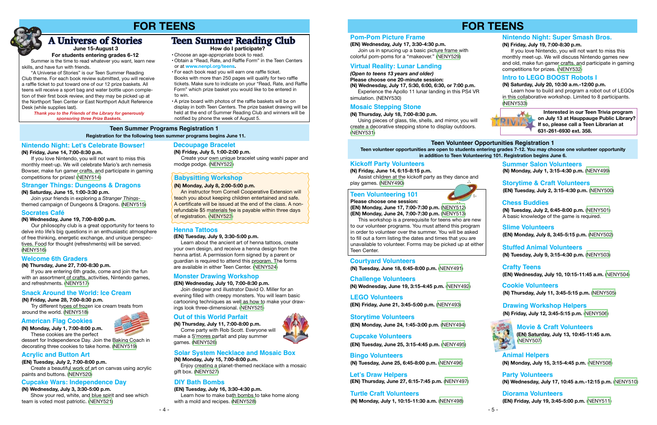## **FOR TEENS**

## **(EN) Wednesday, July 17, 3:30-4:30 p.m.**

Join us in sprucing up a basic picture frame with colorful pom-poms for a "makeover." ([NENY529](https://search.livebrary.com/record=g1091621~S43))

## **Pom-Pom Picture Frame**

### *(Open to teens 13 years and older)*

**Please choose one 20-minute session:**

**(N) Wednesday, July 17, 5:30, 6:00, 6:30, or 7:00 p.m.**  Experience the Apollo 11 lunar landing in this PS4 VR simulation. ([NENY530](https://search.livebrary.com/record=g1090754~S43))

## **Virtual Reality: Lunar Landing**

**(N) Thursday, July 18, 7:00-8:30 p.m.**

Using pieces of glass, tile, shells, and mirror, you will create a decorative stepping stone to display outdoors. ([NENY531](https://search.livebrary.com/record=g1090756~S43))

## **Mosaic Stepping Stone**

## **Teen Volunteer Opportunities Registration 1**

**Teen volunteer opportunities are open to students entering grades 7-12. You may choose one volunteer opportunity in addition to Teen Volunteering 101. Registration begins June 6.** 

**(N) Friday, June 14, 6:15-8:15 p.m.**

 Assist children at the kickoff party as they dance and play games. [\(NENY490\)](https://search.livebrary.com/record=g1090613~S43)

## **Kickoff Party Volunteers**

#### **Please choose one session: (EN) Monday, June 17, 7:00-7:30 p.m.** [\(NENY512\)](https://search.livebrary.com/record=g1090629~S43) **(EN) Monday, June 24, 7:00-7:30 p.m.** [\(NENY513\)](https://search.livebrary.com/record=g1090631~S43)

 This workshop is a prerequisite for teens who are new to our volunteer programs. You must attend this program in order to volunteer over the summer. You will be asked to fill out a form listing the dates and times that you are unavailable to volunteer. Forms may be picked up at either Teen Center.

## **Teen Volunteering 101**



**(EN) Friday, June 21, 3:45-5:00 p.m.** [\(NENY493\)](https://search.livebrary.com/record=g1090634~S43) **LEGO Volunteers**

**(N) Tuesday, June 18, 6:45-8:00 p.m.** ([NENY491](https://search.livebrary.com/record=g1090632~S43))

### **Courtyard Volunteers**

**(EN) Monday, June 24, 1:45-3:00 p.m.** [\(NENY494\)](https://search.livebrary.com/record=g1090635~S43)

## **Storytime Volunteers**

**(EN) Tuesday, June 25, 3:15-4:45 p.m.** [\(NENY495\)](https://search.livebrary.com/record=g1090636~S43) **Cupcake Volunteers**

**(N) Tuesday, July 2, 6:45-8:00 p.m.** [\(NENY501\)](https://search.livebrary.com/record=g1090678~S43) A basic knowledge of the game is required.

#### **Chess Buddies**

**(EN) Monday, July 8, 3:45-5:15 p.m.** [\(NENY502](https://search.livebrary.com/record=g1090679~S43)) **Slime Volunteers**

**(N) Tuesday, July 9, 3:15-4:30 p.m.** [\(NENY503\)](https://search.livebrary.com/record=g1090680~S43) **Stuffed Animal Volunteers**

**(N) Thursday, July 11, 3:45-5:15 p.m.** ([NENY505](https://search.livebrary.com/record=g1090682~S43)) **Cookie Volunteers**

> **(EN) Saturday, July 13, 10:45-11:45 a.m.** ([NENY507](https://search.livebrary.com/record=g1090687~S43)) **Movie & Craft Volunteers**

**(N) Monday, July 15, 3:15-4:45 p.m.** [\(NENY508\)](https://search.livebrary.com/record=g1090695~S43) **Animal Helpers**

**(N) Wednesday, July 17, 10:45 a.m.-12:15 p.m.** [\(NENY510\)](https://search.livebrary.com/record=g1090700~S43) **Party Volunteers**

#### **(N) Friday, July 19, 7:00-8:30 p.m.**

 If you love Nintendo, you will not want to miss this monthly meet-up. We will discuss Nintendo games new and old, make fun gamer crafts, and participate in gaming competitions for prizes. ([NENY532](https://search.livebrary.com/record=g1090759~S43))

### **Nintendo Night: Super Smash Bros.**

**(N) Saturday, July 20, 10:30 a.m.-12:00 p.m.** 

 Learn how to build and program a robot out of LEGOs in this collaborative workshop. Limited to 8 participants. ([NENY533](https://search.livebrary.com/record=g1090761~S43))



### **Intro to LEGO BOOST Robots I**

 **Interested in our Teen Trivia program on July 13 at Hauppauge Public Library? If so, please call a Teen Librarian at 631-261-6930 ext. 358.**

**(N) Wednesday, June 19, 3:15-4:45 p.m.** ([NENY492](https://search.livebrary.com/record=g1090633~S43))

## **Challenge Volunteers**

**(N) Tuesday, June 25, 6:45-8:00 p.m.** ([NENY496](https://search.livebrary.com/record=g1090637~S43)) **Bingo Volunteers**

**(EN) Thursday, June 27, 6:15-7:45 p.m.** [\(NENY497\)](https://search.livebrary.com/record=g1090637~S43) **Let's Draw Helpers**

**(N) Monday, July 1, 3:15-4:30 p.m.** [\(NENY499](https://search.livebrary.com/record=g1090672~S43)) **Summer Salon Volunteers**

**(EN) Tuesday, July 2, 3:15-4:30 p.m.** ([NENY500](https://search.livebrary.com/record=g1090677~S43)) **Storytime & Craft Volunteers**

**(EN) Wednesday, July 10, 10:15-11:45 a.m.** ([NENY504](https://search.livebrary.com/record=g1090681~S43)) **Crafty Teens**

**(N) Friday, July 12, 3:45-5:15 p.m.** ([NENY506](https://search.livebrary.com/record=g1090685~S43)) **Drawing Workshop Helpers**



**(N) Monday, July 1, 10:15-11:30 a.m.** [\(NENY498\)](https://search.livebrary.com/record=g1090671~S43) **Turtle Craft Volunteers**

**(EN) Friday, July 19, 3:45-5:00 p.m.** [\(NENY511\)](https://search.livebrary.com/record=g1090707~S43)

### **Diorama Volunteers**

#### **(N) Monday, July 8, 2:00-5:00 p.m.**

An instructor from Cornell Cooperative Extension will teach you about keeping children entertained and safe. A certificate will be issued at the end of the class. A nonrefundable \$5 materials fee is payable within three days of registration. ([NENY523](https://search.livebrary.com/record=g1090744~S43))

### **Babysitting Workshop**

#### **(N) Friday, June 14, 7:00-8:30 p.m.**

If you love Nintendo, you will not want to miss this monthly meet-up. We will celebrate Mario's arch nemesis Bowser, make fun gamer crafts, and participate in gaming competitions for prizes! ([NENY514](https://search.livebrary.com/record=g1090717~S43))

#### **(N) Saturday, June 15, 1:00-3:30 p.m.**

 Join your friends in exploring a *Stranger Things*themed campaign of Dungeons & Dragons. [\(NENY515](https://search.livebrary.com/record=g1090718~S43))

#### **(N) Wednesday, June 19, 7:00-8:00 p.m.**

Our philosophy club is a great opportunity for teens to delve into life's big questions in an enthusiastic atmosphere of free thinking, energetic exchange, and unique perspectives. Food for thought (refreshments) will be served. [\(NENY516\)](https://search.livebrary.com/record=g1091760~S43)

## **FOR TEENS**







#### **(EN) Tuesday, July 9, 3:30-5:00 p.m.**

 Learn about the ancient art of henna tattoos, create your own design, and receive a henna design from the henna artist. A permission form signed by a parent or guardian is required to attend this program. The forms are available in either Teen Center. ([NENY524](https://search.livebrary.com/record=g1090743~S43))

#### **Teen Summer Programs Registration 1 Registration for the following teen summer programs begins June 11.**

#### **Nintendo Night: Let's Celebrate Bowser!**

#### **Stranger Things: Dungeons & Dragons**

#### **Socrates Café**

### **Henna Tattoos**

*Thank you to the Friends of the Library for generously sponsoring three Prize Baskets.*

## **A Universe of Stories**

- Choose an age-appropriate book to read.
- Obtain a "Read, Rate, and Raffle Form" in the Teen Centers or at **www.nenpl.org/teens.**
- For each book read you will earn one raffle ticket.
- Books with more than 250 pages will qualify for two raffle tickets. Make sure to indicate on your "Read, Rate, and Raffle Form" which prize basket you would like to be entered in to win.

 • A prize board with photos of the raffle baskets will be on display in both Teen Centers. The prize basket drawing will be held at the end of Summer Reading Club and winners will be notified by phone the week of August 5.

#### **How do I participate?**

 Summer is the time to read whatever you want, learn new skills, and have fun with friends.

 "A Universe of Stories" is our Teen Summer Reading Club theme. For each book review submitted, you will receive a raffle ticket to put toward one of our 12 prize baskets. All teens will receive a sport bag and water bottle upon completion of their first book review, and they may be picked up at the Northport Teen Center or East Northport Adult Reference Desk (while supplies last).

#### **(N) Thursday, June 27, 7:00-8:30 p.m.**

#### **June 15-August 3 For students entering grades 6-12**

 If you are entering 6th grade, come and join the fun with an assortment of crafts, activities, Nintendo games, and refreshments. [\(NENY517\)](https://search.livebrary.com/record=g1090721~S43)

#### **Welcome 6th Graders**

#### **(N) Friday, June 28, 7:00-8:30 p.m.**

 Try different types of frozen ice cream treats from around the world. ([NENY518](https://search.livebrary.com/record=g1090722~S43))

#### **Snack Around the World: Ice Cream**

**(N) Friday, July 5, 1:00-2:00 p.m.**

 Create your own unique bracelet using washi paper and modge podge. [\(NENY522](https://search.livebrary.com/record=g1090727~S43))

## **Decoupage Bracelet**

**(EN) Tuesday, July 2, 7:00-8:00 p.m.** Create a beautiful work of art on canvas using acrylic

#### paints and buttons. ([NENY520\)](https://search.livebrary.com/record=g1090724~S43)

#### **Acrylic and Button Art**

#### **(EN) Wednesday, July 10, 7:00-8:30 p.m.**

 Join designer and illustrator David O. Miller for an evening filled with creepy monsters. You will learn basic cartooning techniques as well as how to make your drawings look three-dimensional. [\(NENY525](https://search.livebrary.com/record=g1090745~S43))

### **Monster Drawing Workshop**

**(N) Thursday, July 11, 7:00-8:00 p.m.** Come party with Rob Scott. Everyone will make a S'mores parfait and play summer games. ([NENY526](https://search.livebrary.com/record=g1090747~S43))

### **Out of this World Parfait**

#### **(N) Monday, July 15, 7:00-8:00 p.m.**

Enjoy creating a planet-themed necklace with a mosaic gift box. ([NENY527](https://search.livebrary.com/record=g1090748~S43))

#### **Solar System Necklace and Mosaic Box**

## **Teen Summer Reading Club**

**(N) Monday, July 1, 7:00-8:00 p.m.** These cookies are the perfect

dessert for Independence Day. Join the Baking Coach in decorating three cookies to take home. [\(NENY519\)](https://search.livebrary.com/record=g1090723~S43)

#### **American Flag Cookies**

#### **(N) Wednesday, July 3, 3:30-5:00 p.m.**

 Show your red, white, and blue spirit and see which team is voted most patriotic. ([NENY521](https://search.livebrary.com/record=g1090726~S43))

#### **Cupcake Wars: Independence Day**

**(EN) Tuesday, July 16, 3:30-4:30 p.m.** Learn how to make bath bombs to take home along with a mold and recipes. ([NENY528](https://search.livebrary.com/record=g1090749~S43))

### **DIY Bath Bombs**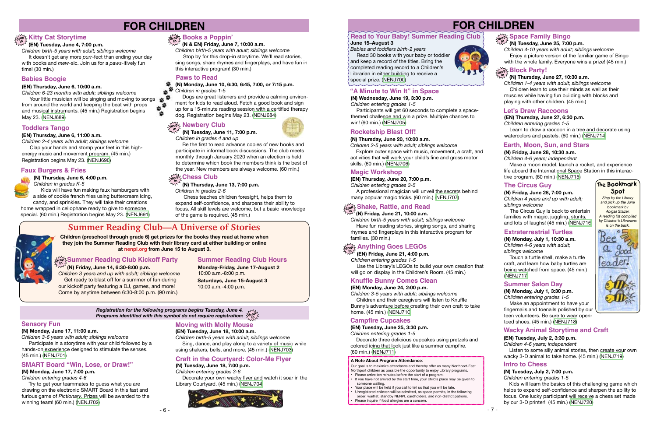## **FOR CHILDREN**

#### **(N) Thursday, June 20, 10:00 a.m.**

*Children 2-5 years with adult; siblings welcome*

 Explore outer space with music, movement, a craft, and activities that will work your child's fine and gross motor skills. (60 min.) [\(NENJ706\)](https://search.livebrary.com/record=g1090447~S43)

### **Rocketship Blast Off!**

**(EN) Thursday, June 20, 7:00 p.m.**

*Children entering grades 3-5*

 A professional magician will unveil the secrets behind many popular magic tricks. (60 min.) [\(NENJ707\)](https://search.livebrary.com/record=g1090361~S43)

## **Magic Workshop**

Touch a turtle shell, make a turtle craft, and learn how baby turtles are being watched from space. (45 min.) ([NENJ717\)](https://search.livebrary.com/record=g1090455~S43)







## **The Circus Guy The Bookmark**

Make an appointment to have your fingernails and toenails polished by our teen volunteers. Be sure to wear opentoed shoes. (45 min.) ([NENJ718](https://search.livebrary.com/record=g1090456~S43))

**(N) Friday, June 28, 7:00 p.m.** *Children 4 years and up with adult; siblings welcome*

- Please arrive ten minutes before the start of a program.
- If you have not arrived by the start time, your child's place may be given to someone waiting.
- Your place will be held if you call to tell us that you will be late.
- Unregistered children will be admitted, as space permits, in the following order: waitlist, standby NENPL cardholders, and non-district patrons.
- Please inquire if food allergies are a concern.

 The Circus Guy is back to entertain families with magic, juggling, stunts, and lots of laughs! (45 min.) [\(NENJ716](https://search.livebrary.com/record=g1090454~S43))

#### **Extraterrestrial Turtles**

**(N) Monday, July 1, 10:30 a.m.** *Children 4-6 years with adult; siblings welcome*

*Children 4-10 years with adult; siblings welcome* Enjoy a picture version of the familiar game of Bingo with the whole family. Everyone wins a prize! (45 min.)

## **Block Party!**

#### **Summer Salon Day**

**(N) Monday, July 1, 3:30 p.m.** *Children entering grades 1-5*

Our goal is to maximize attendance and thereby offer as many Northport-East Northport children as possible the opportunity to enjoy Library programs.

 **(EN) Friday, June 21, 4:00 p.m.** *Children entering grades 1-5* Use the Library's LEGOs to build your own creation that will go on display in the Children's Room. (45 min.)

#### **A Note About Program Attendance**:

### **(EN) Tuesday, July 2, 3:30 p.m.**

*Children 4-6 years; independent* Listen to some silly animal stories, then create your own wacky 3-D animal to take home. (45 min.) [\(NENJ719\)](https://search.livebrary.com/record=g1090372~S43)

#### **Wacky Animal Storytime and Craft**

#### **(N) Tuesday, June 25, 7:00 p.m.**

*Babies and toddlers birth-2 years* Read 30 books with your baby or toddler and keep a record of the titles. Bring the completed reading record to a Children's Librarian in either building to receive a special prize. ([NENJ700](https://search.livebrary.com/record=g1090667~S43))



#### **June 15–August 3 Read to Your Baby! Summer Reading Club**

**(N) Wednesday, June 19, 3:30 p.m.** *Children entering grades 1-5*

 Participants will get 60 seconds to complete a spacethemed challenge and win a prize. Multiple chances to win! (60 min.) ([NENJ705\)](https://search.livebrary.com/record=g1090445~S43)

## **"A Minute to Win It" in Space**

## **drop in (N) Friday, June 21, 10:00 a.m.**

*Registration for the following programs begins Tuesday, June 4.* **Programs identified with this symbol do not require registration:**  $\frac{\zeta_{\sf d}^{\sf top}}{\zeta_{\sf d}^{\sf no}}$  *Children birth-5 years with adult; siblings welcome* Have fun reading stories, singing songs, and sharing rhymes and fingerplays in this interactive program for families. (30 min.)

## **Space Family Bingo drop in**

## **Shake, Rattle, and Read**

## **drop in Anything Goes LEGOs**

Your little musician will be singing and moving to songs<br>m around the world and keeping the beat with props from around the world and keeping the beat with props and musical instruments. (45 min.) Registration begins May 23. ([NENJ689\)](https://search.livebrary.com/record=g1090420~S43)

**(EN) Monday, June 24, 2:00 p.m.**

Kids will have fun making faux hamburgers with a side of cookie french fries using buttercream icing, candy, and sprinkles. They will take their creations

> *Children 3-5 years with adult; siblings welcome* Children and their caregivers will listen to Knuffle Bunny's adventure before creating their own craft to take home. (45 min.) [\(NENJ710](https://search.livebrary.com/record=g1090424~S43))

## **Knuffle Bunny Comes Clean**

#### **(EN) Tuesday, June 25, 3:30 p.m.**

*Children entering grades 1-5*

 Decorate three delicious cupcakes using pretzels and colored icing that look just like a summer campfire. (60 min.) [\(NENJ711\)](https://search.livebrary.com/record=g1090425~S43)

## **Campfire Cupcakes**

#### **(N) Thursday, June 27, 10:30 a.m.**

*Children 1-4 years with adult; siblings welcome* Children learn to use their minds as well as their muscles while having fun building with blocks and playing with other children. (45 min.)

#### **(EN) Thursday, June 27, 6:30 p.m.**

*Children entering grades 1-5* Learn to draw a raccoon in a tree and decorate using watercolors and pastels. (60 min.) [\(NENJ714](https://search.livebrary.com/record=g1090427~S43))

#### **Let's Draw Raccoons**

#### **(N) Friday, June 28, 10:30 a.m.**

*Children 4-6 years; independent*

 Make a moon model, launch a rocket, and experience life aboard the International Space Station in this interactive program. (60 min.) [\(NENJ715](https://search.livebrary.com/record=g1090453~S43))

#### $\frac{1}{2}$  Summer Reading Club Kickoff Party **in**

#### **Earth, Moon, Sun, and Stars**

**(N) Tuesday, July 2, 7:00 p.m.** *Children entering grades 1-5*

 Kids will learn the basics of this challenging game which helps to expand self-confidence and sharpen the ability to focus. One lucky participant will receive a chess set made by our 3-D printer! (45 min.) ([NENJ720](https://search.livebrary.com/record=g1090458~S43))

#### **Intro to Chess**



**drop in Books a Poppin'**

## **FOR CHILDREN**

## **drophy Kitty Cat Storytime**

#### **(N & EN) Friday, June 7, 10:00 a.m.**

*Children birth-5 years with adult; siblings welcome* Stop by for this drop-in storytime. We'll read stories,

sing songs, share rhymes and fingerplays, and have fun in this interactive program! (30 min.)

> **Monday-Friday, June 17-August 2** 10:00 a.m.-8:00 p.m.

## **Summer Reading Club Hours**

**Children (preschool through grade 6) get prizes for the books they read at home when they join the Summer Reading Club with their library card at either building or online at nenpl.org from June 15 to August 3.** 



## **Summer Reading Club—A Universe of Stories**

## **(EN) Tuesday, June 4, 7:00 p.m.**

*Children birth-5 years with adult; siblings welcome*

 It doesn't get any more *purr*-fect than ending your day with books and *mew*-sic. Join us for a *paws*-itively fun time! (30 min.)

#### **(N) Friday, June 14, 6:30-8:00 p.m.** *Children 3 years and up with adult; siblings welcome* Get ready to blast off for a summer of fun during our kickoff party featuring a DJ, games, and more! Come by anytime between 6:30-8:00 p.m. (90 min.)

**Saturdays, June 15-August 3** 10:00 a.m.-4:00 p.m.

#### **(EN) Thursday, June 6, 11:00 a.m.**

*Children 2-4 years with adult; siblings welcome*

 Clap your hands and stomp your feet in this highenergy music and movement program. (45 min.) Registration begins May 23. [\(NENJ690\)](https://search.livebrary.com/record=g1090421~S43)

## **Toddlers Tango**

#### **(EN) Thursday, June 6, 10:00 a.m.**

*Children 6-23 months with adult; siblings welcome* 

## **Babies Boogie**

## **Faux Burgers & Fries**

#### **(N) Thursday, June 6, 4:00 p.m.**

*Children in grades K-5*

home wrapped in cellophane ready to give to someone special. (60 min.) Registration begins May 23. [\(NENJ691\)](https://search.livebrary.com/record=g1090387~S43) **(N) Monday, June 10, 6:30, 6:45, 7:00, or 7:15 p.m.** *Children in grades 1-5*

 Dogs are great listeners and provide a calming environment for kids to read aloud. Fetch a good book and sign up for a 15-minute reading session with a certified therapy dog. Registration begins May 23. [\(NENJ684\)](https://search.livebrary.com/record=g1090392~S43)

## $\widetilde{\mathcal{W}}$  **Newbery Club**

## **Paws to Read**

 **(N) Tuesday, June 11, 7:00 p.m.**

*Children in grades 4 and up*

 Be the first to read advance copies of new books and participate in informal book discussions. The club meets monthly through January 2020 when an election is held to determine which book the members think is the best of the year. New members are always welcome. (60 min.)

#### **(N) Thursday, June 13, 7:00 p.m.** *Children in grades 2-6*

 Chess teaches children foresight, helps them to expand self-confidence, and sharpens their ability to focus. All skill levels are welcome, but a basic knowledge of the game is required. (45 min.)

## **drop Chess Club in**

#### **(N) Monday, June 17, 11:00 a.m.**

*Children 3-6 years with adult; siblings welcome* Participate in a storytime with your child followed by a hands-on experience designed to stimulate the senses.

(45 min.) ([NENJ701\)](https://search.livebrary.com/record=g1090432~S43)

## **Sensory Fun**

### **SMART Board "Win, Lose, or Draw!"**

**(N) Monday, June 17, 7:00 p.m.** *Children entering grades 4-6*

 Try to get your teammates to guess what you are drawing on the electronic SMART Board in this fast and furious game of *Pictionary*. Prizes will be awarded to the winning team! (60 min.) ([NENJ702\)](https://search.livebrary.com/record=g1090434~S43)

**(EN) Tuesday, June 18, 10:00 a.m.**

*Children birth-5 years with adult; siblings welcome* Sing, dance, and play along to a variety of music while using shakers, bells, and more. (45 min.) ([NENJ703](https://search.livebrary.com/record=g1090423~S43))

## **Moving with Molly Mouse**

## **(N) Tuesday, June 18, 7:00 p.m.**

*Children entering grades 3-6* Decorate your own wacky flyer and watch it soar in the Library Courtyard. (45 min.) [\(NENJ704](https://search.livebrary.com/record=g1090441~S43))



### **Craft in the Courtyard: Color-Me Flyer**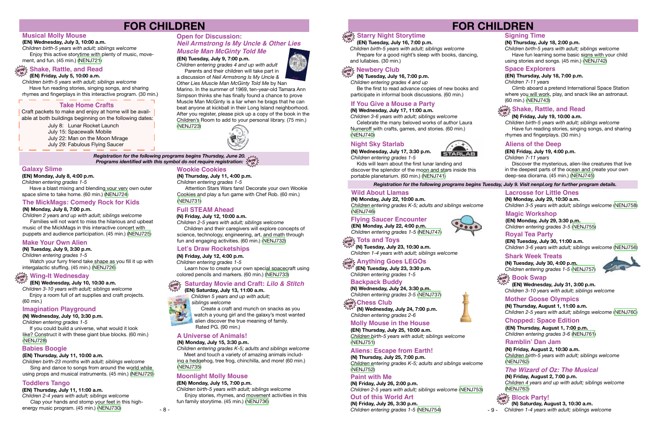## **FOR CHILDREN**

**(EN) Monday, July 8, 4:00 p.m.** *Children entering grades 1-5*

 Have a blast mixing and blending your very own outer space slime to take home. (60 min.) ([NENJ724](https://search.livebrary.com/record=g1090436~S43))

#### **Galaxy Slime**

**(N) Tuesday, July 9, 3:30 p.m.**

*Children entering grades 1-5*

 Watch your furry friend take shape as you fill it up with intergalactic stuffing. (45 min.) ([NENJ726](https://search.livebrary.com/record=g1090530~S43))

## **Make Your Own Alien**

**(N) Wednesday, July 10, 3:30 p.m.** *Children entering grades 1-5*

 If you could build a universe, what would it look like? Construct it with these giant blue blocks. (60 min.) ([NENJ728\)](https://search.livebrary.com/record=g1090531~S43)

## **Imagination Playground**

#### **(EN) Wednesday, July 3, 10:00 a.m.**

*Children birth-5 years with adult; siblings welcome* Enjoy this active storytime with plenty of music, movement, and fun. (45 min.) [\(NENJ721](https://search.livebrary.com/record=g1090428~S43))

## **Musical Molly Mouse**

#### **(EN) Tuesday, July 9, 7:00 p.m.**

*Children entering grades 4 and up with adult* Parents and their children will take part in

a discussion of *Neil Armstrong Is My Uncle & Other Lies Muscle Man McGinty Told Me* by Nan

*Registration for the following programs begins Thursday, June 20.* Programs identified with this symbol do not require registration:  $\frac{\sum\limits_{i=1}^{N}1}{N}$ 

Marino. In the summer of 1969, ten-year-old Tamara Ann Simpson thinks she has finally found a chance to prove Muscle Man McGinty is a liar when he brags that he can beat anyone at kickball in their Long Island neighborhood. After you register, please pick up a copy of the book in the Children's Room to add to your personal library. (75 min.) ([NENJ723](https://search.livebrary.com/record=g1090380~S43))



## **Full STEAM Ahead**

#### **(N) Friday, July 12, 10:00 a.m.**

*Children 2-5 years with adult; siblings welcome*

 Children and their caregivers will explore concepts of science, technology, engineering, art, and math through fun and engaging activities. (60 min.) [\(NENJ732](https://search.livebrary.com/record=g1090533~S43))

#### **drop in Shake, Rattle, and Read (EN) Friday, July 5, 10:00 a.m.**

*Children birth-5 years with adult; siblings welcome* Have fun reading stories, singing songs, and sharing rhymes and fingerplays in this interactive program. (30 min.)

#### **Open for Discussion:** *Neil Armstrong Is My Uncle & Other Lies Muscle Man McGinty Told Me*

- July 8: Lunar Rocket Launch
- July 15: Spacewalk Mobile
- July 22: Man on the Moon Mirage
- July 29: Fabulous Flying Saucer

## **Take Home Crafts**

Craft packets to make and enjoy at home will be available at both buildings beginning on the following dates:

#### **(N) Monday, July 8, 7:00 p.m.**

*Children 2 years and up with adult; siblings welcome* Families will not want to miss the hilarious and upbeat music of the MickMags in this interactive concert with puppets and audience participation. (45 min.) [\(NENJ725\)](https://search.livebrary.com/record=g1090459~S43)

#### **The MickMags: Comedy Rock for Kids**

 **(EN) Wednesday, July 10, 10:30 a.m.**

## **drop in Wing-It Wednesday**

*Children 3-10 years with adult; siblings welcome* Enjoy a room full of art supplies and craft projects.

## (60 min.)

#### **(EN) Thursday, July 11, 10:00 a.m.**

*Children birth-23 months with adult; siblings welcome*  Sing and dance to songs from around the world while using props and musical instruments. (45 min.) ([NENJ729](https://search.livebrary.com/record=g1090433~S43))

### **Babies Boogie**

 **(N) Thursday, July 11, 4:00 p.m.** *Children entering grades 1-5*

 Attention Stars Wars fans! Decorate your own Wookie Cookies and play a fun game with Chef Rob. (60 min.) [\(NENJ731\)](https://search.livebrary.com/record=g1090532~S43)

## **Wookie Cookies**

**(N) Friday, July 12, 4:00 p.m.**

*Children entering grades 1-5*

 Learn how to create your own special spacecraft using colored pencils and markers. (60 min.) [\(NENJ733](https://search.livebrary.com/record=g1090534~S43))

### **Let's Draw Rocketships**

#### **(EN) Saturday, July 13, 11:00 a.m.**



*Children 5 years and up with adult; siblings welcome* 

 Create a craft and munch on snacks as you watch a young girl and the galaxy's most wanted

#### **drop in Saturday Movie and Craft:** *Lilo & Stitch*

alien discover the true meaning of family. Rated PG. (90 min.)

#### **(EN) Thursday, July 11, 11:00 a.m.**

*Children 2-4 years with adult; siblings welcome* Clap your hands and stomp your feet in this highenergy music program. (45 min.) [\(NENJ730\)](https://search.livebrary.com/record=g1090435~S43)

### **Toddlers Tango**

#### **(N) Monday, July 15, 3:30 p.m.**

*Children entering grades K-5; adults and siblings welcome* Meet and touch a variety of amazing animals includ-

ing a hedgehog, tree frog, chinchilla, and more! (60 min.) [\(NENJ735\)](https://search.livebrary.com/record=g1090536~S43)

### **A Universe of Animals!**

**(EN) Monday, July 15, 7:00 p.m.**

*Children birth-5 years with adult; siblings welcome* Enjoy stories, rhymes, and movement activities in this fun family storytime. (45 min.) ([NENJ736](https://search.livebrary.com/record=g1090437~S43))

## **Moonlight Molly Mouse**

## **FOR CHILDREN**

#### *Registration for the following programs begins Tuesday, July 9. Visit nenpl.org for further program details.*

#### **(EN) Tuesday, July 16, 7:00 p.m.** *Children birth-5 years with adult; siblings welcome*

## **drop in Starry Night Storytime**

 Prepare for a good night's sleep with books, dancing, and lullabies. (30 min.)

> **(EN) Monday, July 29, 3:30 p.m.** *Children entering grades 3-5* ([NENJ755](https://search.livebrary.com/record=g1090407~S43))

#### **Magic Workshop**

#### **(N) Monday, July 22, 10:00 a.m.**

*Children entering grades K-5; adults and siblings welcome*  [\(NENJ746\)](https://search.livebrary.com/record=g1090547~S43)

#### **Wild About Llamas**

**(EN) Monday, July 22, 4:00 p.m.** *Children entering grades 1-5* [\(NENJ747\)](https://search.livebrary.com/record=g1090440~S43)

້<sub>drop∑</sub> Tots and Toys<br>ີ່

### **Flying Saucer Encounter**

 **(N) Tuesday, July 23, 10:30 a.m.** *Children 1-4 years with adult; siblings welcome*

> **(EN) Thursday, August 1, 7:00 p.m.** *Children entering grades 3-6* ([NENJ761\)](https://search.livebrary.com/record=g1090439~S43)

#### **Chopped: Space Edition**

*Children entering grades K-5; adults and siblings welcome* 

([NENJ752](https://search.livebrary.com/record=g1090550~S43))

**Paint with Me**

#### **(N) Thursday, July 25, 7:00 p.m. Aliens: Escape from Earth!**

**(N) Friday, July 26, 2:00 p.m.**

*Children 2-5 years with adult; siblings welcome* [\(NENJ753\)](https://search.livebrary.com/record=g1090551~S43)

**(EN) Thursday, July 25, 10:00 a.m.** *Children birth-5 years with adult; siblings welcome* ([NENJ751](https://search.livebrary.com/record=g1090442~S43))

### **Molly Mouse in the House**

**(N) Friday, July 26, 3:30 p.m.**

*Children entering grades 1-5* [\(NENJ754](https://search.livebrary.com/record=g1090553~S43))

**Out of this World Art**

#### **drop Chess Club in**

 **(N) Wednesday, July 24, 7:00 p.m.** *Children entering grades 2-6*

#### **(N) Tuesday, July 16, 7:00 p.m.**

*Children entering grades 4 and up*

## **drop in Newbery Club**

 Be the first to read advance copies of new books and participate in informal book discussions. (60 min.)

#### **(N) Wednesday, July 17, 11:00 a.m.**

*Children 3-6 years with adult; siblings welcome* Celebrate the many beloved works of author Laura Numeroff with crafts, games, and stories. (60 min.) ([NENJ740\)](https://search.livebrary.com/record=g1090539~S43)

## **If You Give a Mouse a Party**

**(N) Wednesday, July 17, 3:30 p.m.** *Children entering grades 1-5*



#### Kids will learn about the first lunar landing and discover the splendor of the moon and stars inside this portable planetarium. (60 min.) [\(NENJ741\)](https://search.livebrary.com/record=g1090543~S43)

- 9 - *Children 1-4 years with adult; siblings welcome*



### **Night Sky Starlab**

#### **(N) Thursday, July 18, 2:00 p.m.**

*Children birth-5 years with adult; siblings welcome* Have fun learning some basic signs with your child using stories and songs. (45 min.) [\(NENJ742\)](https://search.livebrary.com/record=g1090545~S43)

#### **Signing Time**

#### **(EN) Thursday, July 18, 7:00 p.m.**

*Children 7-11 years*

 Climb aboard a pretend International Space Station where you will work, play, and snack like an astronaut. (60 min.) [\(NENJ743](https://search.livebrary.com/record=g1090438~S43))

**Space Explorers**

#### **(N) Friday, July 19, 10:00 a.m.**

## **drop in Shake, Rattle, and Read**

*Children birth-5 years with adult; siblings welcome* Have fun reading stories, singing songs, and sharing rhymes and fingerplays. (30 min.)

#### **(EN) Friday, July 19, 4:00 p.m.**

*Children 7-11 years*

 Discover the mysterious, alien-like creatures that live in the deepest parts of the ocean and create your own deep-sea diorama. (45 min.) ([NENJ745](https://search.livebrary.com/record=g1090430~S43))

#### **Aliens of the Deep**

 **(EN) Tuesday, July 23, 3:30 p.m.** *Children entering grades 1-5*

## **drop Anything Goes LEGOs in**

 **(N) Wednesday, July 24, 3:30 p.m.** *Children entering grades 3-5* ([NENJ737](https://search.livebrary.com/record=g1090537~S43))

#### **Backpack Buddy**

**(EN) Tuesday, July 30, 11:00 a.m.** *Children 3-6 years with adult; siblings welcome* [\(NENJ756\)](https://search.livebrary.com/record=g1090408~S43)

#### **Royal Tea Party**

**(N) Tuesday, July 30, 4:00 p.m.** *Children entering grades 1-5* ([NENJ757](https://search.livebrary.com/record=g1090555~S43))

## $\frac{1}{2}$  are **Book** Swap

#### **Shark Week Treats**

**(N) Monday, July 29, 10:30 a.m.** *Children 3-5 years with adult; siblings welcome* [\(NENJ758](https://search.livebrary.com/record=g1090557~S43))

#### **Lacrosse for Little Ones**

 **(EN) Wednesday, July 31, 3:00 p.m.** *Children 3-10 years with adult; siblings welcome*

**(N) Thursday, August 1, 11:00 a.m.** *Children 2-5 years with adult; siblings welcome* [\(NENJ760](https://search.livebrary.com/record=g1090561~S43))

#### **Mother Goose Olympics**

**(N) Friday, August 2, 10:30 a.m.** *Children birth-5 years with adult; siblings welcome* ([NENJ762\)](https://search.livebrary.com/record=g1090563~S43)

#### **Ramblin' Dan Jam**

**(N) Friday, August 2, 7:00 p.m.** *Children 4 years and up with adult; siblings welcome* [\(NENJ763\)](https://search.livebrary.com/record=g1090565~S43)

#### *The Wizard of Oz: The Musical*

 **(N) Saturday, August 3, 10:30 a.m.**

#### **Block Party! drop in**